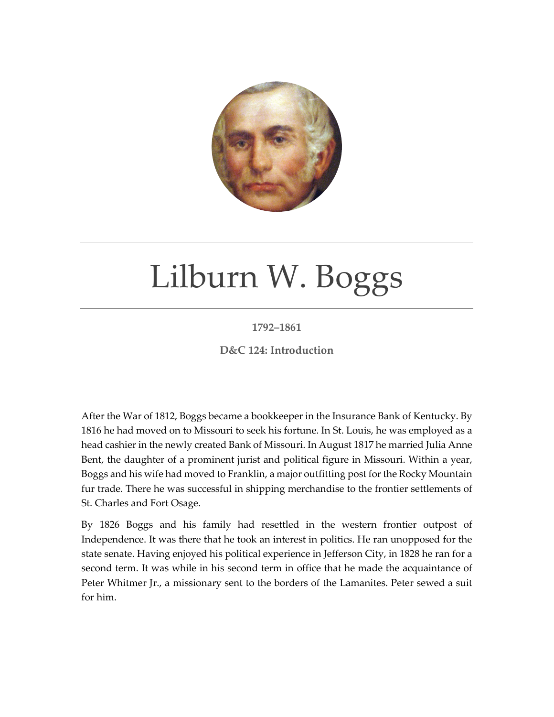

## Lilburn W. Boggs

## **1792–1861**

**D&C 124: Introduction**

After the War of 1812, Boggs became a bookkeeper in the Insurance Bank of Kentucky. By 1816 he had moved on to Missouri to seek his fortune. In St. Louis, he was employed as a head cashier in the newly created Bank of Missouri. In August 1817 he married Julia Anne Bent, the daughter of a prominent jurist and political figure in Missouri. Within a year, Boggs and his wife had moved to Franklin, a major outfitting post for the Rocky Mountain fur trade. There he was successful in shipping merchandise to the frontier settlements of St. Charles and Fort Osage.

By 1826 Boggs and his family had resettled in the western frontier outpost of Independence. It was there that he took an interest in politics. He ran unopposed for the state senate. Having enjoyed his political experience in Jefferson City, in 1828 he ran for a second term. It was while in his second term in office that he made the acquaintance of Peter Whitmer Jr., a missionary sent to the borders of the Lamanites. Peter sewed a suit for him.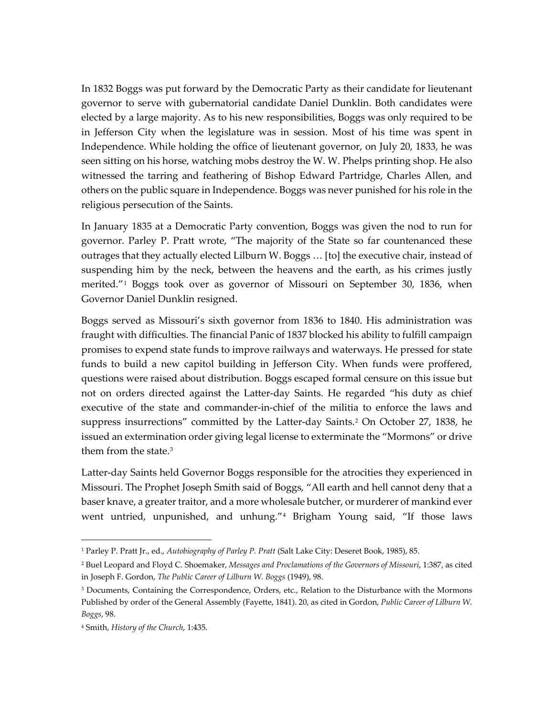In 1832 Boggs was put forward by the Democratic Party as their candidate for lieutenant governor to serve with gubernatorial candidate Daniel Dunklin. Both candidates were elected by a large majority. As to his new responsibilities, Boggs was only required to be in Jefferson City when the legislature was in session. Most of his time was spent in Independence. While holding the office of lieutenant governor, on July 20, 1833, he was seen sitting on his horse, watching mobs destroy the W. W. Phelps printing shop. He also witnessed the tarring and feathering of Bishop Edward Partridge, Charles Allen, and others on the public square in Independence. Boggs was never punished for his role in the religious persecution of the Saints.

In January 1835 at a Democratic Party convention, Boggs was given the nod to run for governor. Parley P. Pratt wrote, "The majority of the State so far countenanced these outrages that they actually elected Lilburn W. Boggs … [to] the executive chair, instead of suspending him by the neck, between the heavens and the earth, as his crimes justly merited."[1](#page-1-0) Boggs took over as governor of Missouri on September 30, 1836, when Governor Daniel Dunklin resigned.

Boggs served as Missouri's sixth governor from 1836 to 1840. His administration was fraught with difficulties. The financial Panic of 1837 blocked his ability to fulfill campaign promises to expend state funds to improve railways and waterways. He pressed for state funds to build a new capitol building in Jefferson City. When funds were proffered, questions were raised about distribution. Boggs escaped formal censure on this issue but not on orders directed against the Latter-day Saints. He regarded "his duty as chief executive of the state and commander-in-chief of the militia to enforce the laws and suppress insurrections" committed by the Latter-day Saints.<sup>[2](#page-1-1)</sup> On October 27, 1838, he issued an extermination order giving legal license to exterminate the "Mormons" or drive them from the state.[3](#page-1-2)

Latter-day Saints held Governor Boggs responsible for the atrocities they experienced in Missouri. The Prophet Joseph Smith said of Boggs, "All earth and hell cannot deny that a baser knave, a greater traitor, and a more wholesale butcher, or murderer of mankind ever went untried, unpunished, and unhung."[4](#page-1-3) Brigham Young said, "If those laws

<span id="page-1-0"></span><sup>1</sup> Parley P. Pratt Jr., ed., *Autobiography of Parley P. Pratt* (Salt Lake City: Deseret Book, 1985), 85.

<span id="page-1-1"></span><sup>2</sup> Buel Leopard and Floyd C. Shoemaker, *Messages and Proclamations of the Governors of Missouri*, 1:387, as cited in Joseph F. Gordon, *The Public Career of Lilburn W. Boggs* (1949), 98.

<span id="page-1-2"></span><sup>&</sup>lt;sup>3</sup> Documents, Containing the Correspondence, Orders, etc., Relation to the Disturbance with the Mormons Published by order of the General Assembly (Fayette, 1841). 20, as cited in Gordon, *Public Career of Lilburn W. Boggs*, 98.

<span id="page-1-3"></span><sup>4</sup> Smith, *History of the Church*, 1:435.